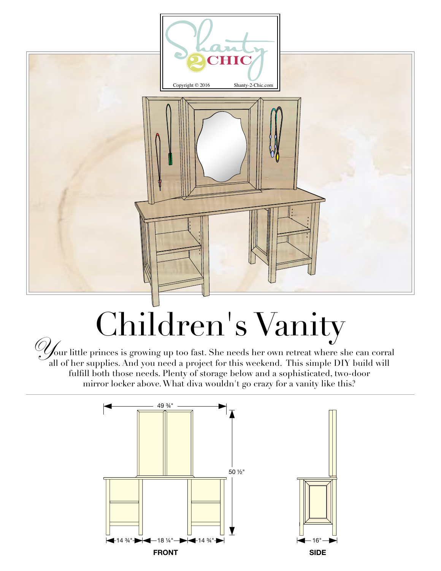

# Children's Vanity

*Our little princes is growing up too fast. She needs her own retreat where she can corral* all of her supplies. And you need a project for this weekend. This simple DIY build will fulfill both those needs. Plenty of storage below and a sophisticated, two-door mirror locker above. What diva wouldn't go crazy for a vanity like this?

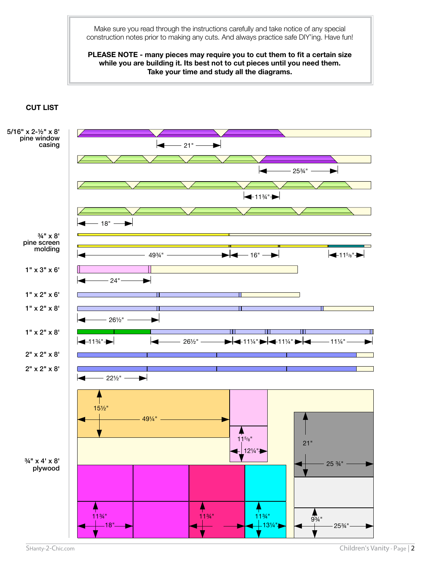Make sure you read through the instructions carefully and take notice of any special construction notes prior to making any cuts. And always practice safe DIY'ing. Have fun!

**PLEASE NOTE - many pieces may require you to cut them to fit a certain size while you are building it. Its best not to cut pieces until you need them. Take your time and study all the diagrams.** 

### **CUT LIST**

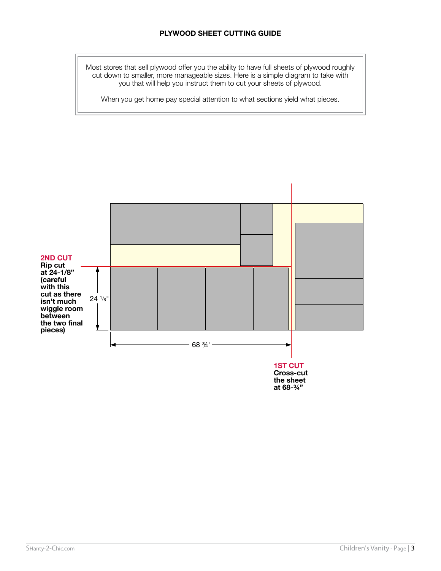Most stores that sell plywood offer you the ability to have full sheets of plywood roughly cut down to smaller, more manageable sizes. Here is a simple diagram to take with you that will help you instruct them to cut your sheets of plywood.

When you get home pay special attention to what sections yield what pieces.



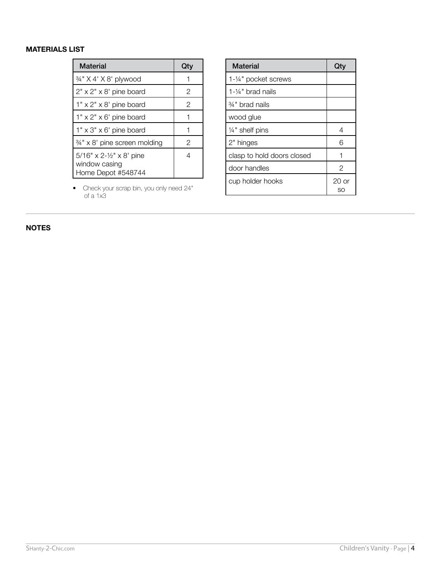### **MATERIALS LIST**

| <b>Material</b>                                                                | Qty |
|--------------------------------------------------------------------------------|-----|
| 3/4" X 4' X 8' plywood                                                         |     |
| $2" \times 2" \times 8'$ pine board                                            | 2   |
| $1" \times 2" \times 8'$ pine board                                            | 2   |
| $1" \times 2" \times 6'$ pine board                                            |     |
| $1" \times 3" \times 6'$ pine board                                            |     |
| 34" x 8' pine screen molding                                                   | 2   |
| $5/16" \times 2\frac{1}{2}$ " x 8' pine<br>window casing<br>Home Depot #548744 | 4   |

• Check your scrap bin, you only need 24" so of a 1x3

| <b>Material</b>            | Qtv            |
|----------------------------|----------------|
| 1-1/4" pocket screws       |                |
| 1-1/4" brad nails          |                |
| <sup>3⁄4</sup> brad nails  |                |
| wood glue                  |                |
| $1/4$ " shelf pins         | 4              |
| 2" hinges                  | 6              |
| clasp to hold doors closed |                |
| door handles               | $\overline{2}$ |
| cup holder hooks           | $20$ or<br>SΟ  |

**NOTES**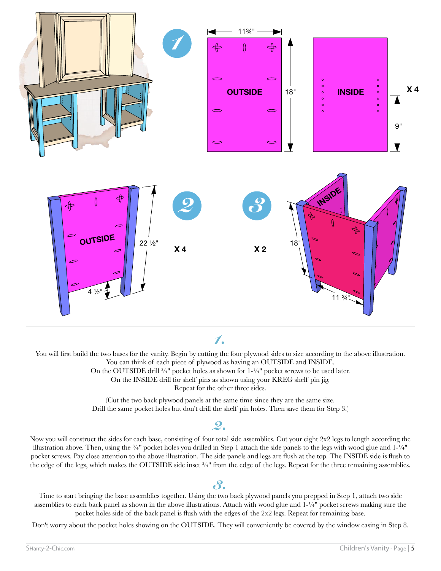

You will first build the two bases for the vanity. Begin by cutting the four plywood sides to size according to the above illustration. You can think of each piece of plywood as having an OUTSIDE and INSIDE. On the OUTSIDE drill  $\frac{3}{4}$ " pocket holes as shown for  $1-\frac{1}{4}$ " pocket screws to be used later. On the INSIDE drill for shelf pins as shown using your KREG shelf pin jig. Repeat for the other three sides.

> (Cut the two back plywood panels at the same time since they are the same size. Drill the same pocket holes but don't drill the shelf pin holes. Then save them for Step 3.)

### *2.*

Now you will construct the sides for each base, consisting of four total side assemblies. Cut your eight 2x2 legs to length according the illustration above. Then, using the 3/4" pocket holes you drilled in Step 1 attach the side panels to the legs with wood glue and 1-1/4" pocket screws. Pay close attention to the above illustration. The side panels and legs are flush at the top. The INSIDE side is flush to the edge of the legs, which makes the OUTSIDE side inset ¾" from the edge of the legs. Repeat for the three remaining assemblies.

### *3.*

Time to start bringing the base assemblies together. Using the two back plywood panels you prepped in Step 1, attach two side assemblies to each back panel as shown in the above illustrations. Attach with wood glue and 1-¼" pocket screws making sure the pocket holes side of the back panel is flush with the edges of the 2x2 legs. Repeat for remaining base.

Don't worry about the pocket holes showing on the OUTSIDE. They will conveniently be covered by the window casing in Step 8.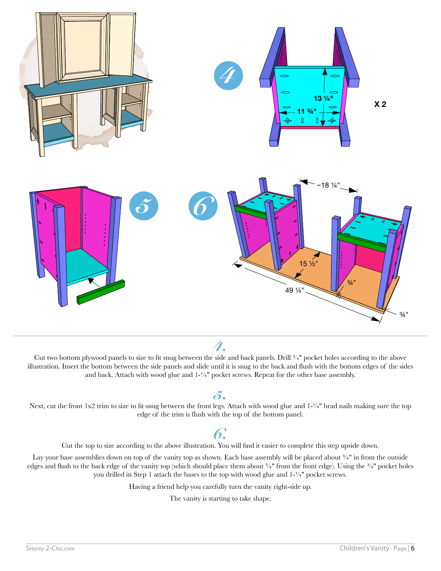

Cut two bottom plywood panels to size to fit snug between the side and back panels. Drill ¾" pocket holes according to the above illustration. Insert the bottom between the side panels and slide until it is snug to the back and flush with the bottom edges of the sides and back. Attach with wood glue and  $1-1/4"$  pocket screws. Repeat for the other base assembly.

## *5.*

Next, cut the front 1x2 trim to size to fit snug between the front legs. Attach with wood glue and 1-1/4" brad nails making sure the top edge of the trim is flush with the top of the bottom panel.

# *6.*

Cut the top to size according to the above illustration. You will find it easier to complete this step upside down.

Lay your base assemblies down on top of the vanity top as shown. Each base assembly will be placed about  $\frac{3}{4}$ " in from the outside edges and flush to the back edge of the vanity top (which should place them about  $\frac{3}{4}$ " from the front edge). Using the  $\frac{3}{4}$ " pocket holes you drilled in Step 1 attach the bases to the top with wood glue and 1-¼" pocket screws.

Having a friend help you carefully turn the vanity right-side up.

The vanity is starting to take shape.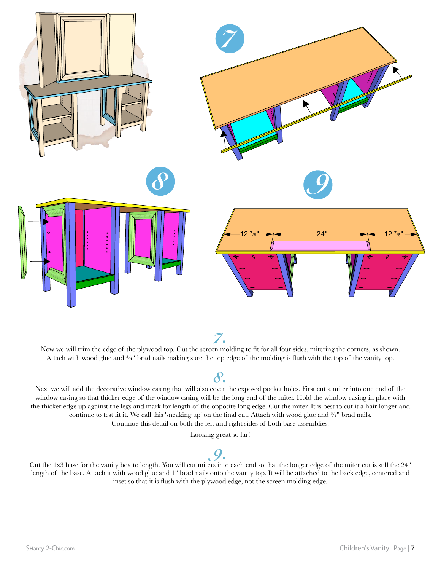

Now we will trim the edge of the plywood top. Cut the screen molding to fit for all four sides, mitering the corners, as shown. Attach with wood glue and  $\frac{3}{4}$ " brad nails making sure the top edge of the molding is flush with the top of the vanity top.

# *8.*

Next we will add the decorative window casing that will also cover the exposed pocket holes. First cut a miter into one end of the window casing so that thicker edge of the window casing will be the long end of the miter. Hold the window casing in place with the thicker edge up against the legs and mark for length of the opposite long edge. Cut the miter. It is best to cut it a hair longer and continue to test fit it. We call this 'sneaking up' on the final cut. Attach with wood glue and ¾" brad nails. Continue this detail on both the left and right sides of both base assemblies.

Looking great so far!

*9.* Cut the 1x3 base for the vanity box to length. You will cut miters into each end so that the longer edge of the miter cut is still the 24" length of the base. Attach it with wood glue and 1" brad nails onto the vanity top. It will be attached to the back edge, centered and inset so that it is flush with the plywood edge, not the screen molding edge.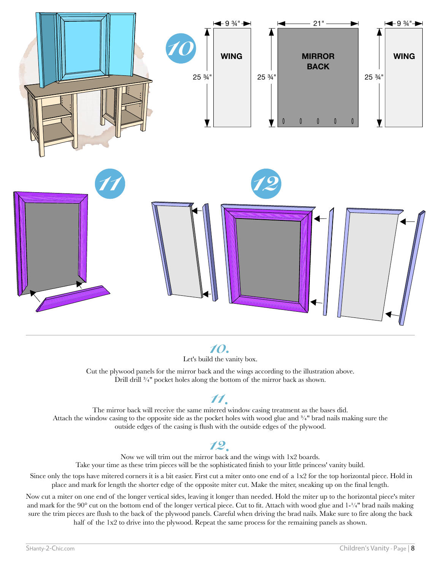

Let's build the vanity box.

Cut the plywood panels for the mirror back and the wings according to the illustration above. Drill drill ¾" pocket holes along the bottom of the mirror back as shown.

The mirror back will receive the same mitered window casing treatment as the bases did. Attach the window casing to the opposite side as the pocket holes with wood glue and ¾" brad nails making sure the outside edges of the casing is flush with the outside edges of the plywood.

Now we will trim out the mirror back and the wings with 1x2 boards. Take your time as these trim pieces will be the sophisticated finish to your little princess' vanity build.

 Since only the tops have mitered corners it is a bit easier. First cut a miter onto one end of a 1x2 for the top horizontal piece. Hold in place and mark for length the shorter edge of the opposite miter cut. Make the miter, sneaking up on the final length.

Now cut a miter on one end of the longer vertical sides, leaving it longer than needed. Hold the miter up to the horizontal piece's miter and mark for the 90° cut on the bottom end of the longer vertical piece. Cut to fit. Attach with wood glue and  $1-l/4$ " brad nails making sure the trim pieces are flush to the back of the plywood panels. Careful when driving the brad nails. Make sure to fire along the back half of the 1x2 to drive into the plywood. Repeat the same process for the remaining panels as shown.